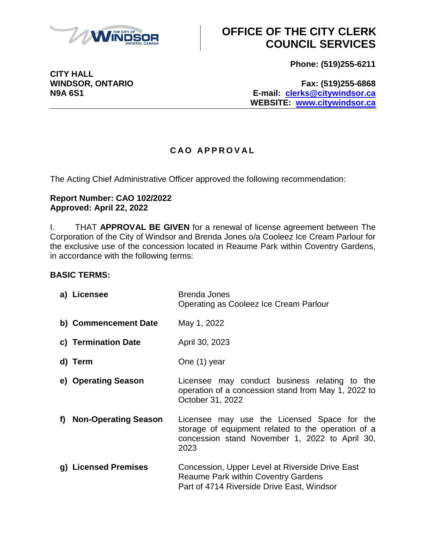

**Phone: (519)255-6211**

**WINDSOR, ONTARIO Fax: (519)255-6868 N9A 6S1 E-mail: [clerks@citywindsor.ca](mailto:clerks@citywindsor.ca) WEBSITE: [www.citywindsor.ca](http://www.citywindsor.ca/)**

#### **C A O A P P R O V A L**

The Acting Chief Administrative Officer approved the following recommendation:

#### **Report Number: CAO 102/2022 Approved: April 22, 2022**

I. THAT **APPROVAL BE GIVEN** for a renewal of license agreement between The Corporation of the City of Windsor and Brenda Jones o/a Cooleez Ice Cream Parlour for the exclusive use of the concession located in Reaume Park within Coventry Gardens, in accordance with the following terms:

#### **BASIC TERMS:**

| a) Licensee             | Brenda Jones<br>Operating as Cooleez Ice Cream Parlour                                                                                                      |
|-------------------------|-------------------------------------------------------------------------------------------------------------------------------------------------------------|
| b) Commencement Date    | May 1, 2022                                                                                                                                                 |
| c) Termination Date     | April 30, 2023                                                                                                                                              |
| d) Term                 | One (1) year                                                                                                                                                |
| e) Operating Season     | Licensee may conduct business relating to the<br>operation of a concession stand from May 1, 2022 to<br>October 31, 2022                                    |
| f) Non-Operating Season | Licensee may use the Licensed Space for the<br>storage of equipment related to the operation of a<br>concession stand November 1, 2022 to April 30,<br>2023 |
| g) Licensed Premises    | Concession, Upper Level at Riverside Drive East<br><b>Reaume Park within Coventry Gardens</b><br>Part of 4714 Riverside Drive East, Windsor                 |

**CITY HALL**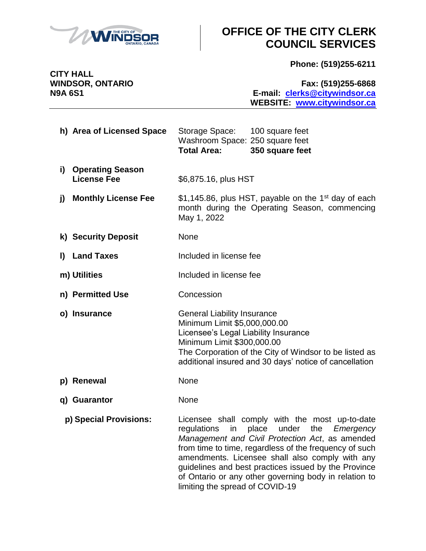

**Phone: (519)255-6211**

**CITY HALL**

**WINDSOR, ONTARIO Fax: (519)255-6868 N9A 6S1 E-mail: [clerks@citywindsor.ca](mailto:clerks@citywindsor.ca) WEBSITE: [www.citywindsor.ca](http://www.citywindsor.ca/)**

- **h) Area of Licensed Space** Storage Space: 100 square feet Washroom Space: 250 square feet **Total Area: 350 square feet**
- **i) Operating Season** License Fee  $$6,875.16, plus HST$
- **j)** Monthly License Fee  $$1,145.86$ , plus HST, payable on the 1<sup>st</sup> day of each month during the Operating Season, commencing May 1, 2022
- **k) Security Deposit** None
- **l)** Land Taxes Included in license fee
- **m)** Utilities Included in license fee
- **n) Permitted Use Concession**
- **o) Insurance General Liability Insurance** Minimum Limit \$5,000,000.00 Licensee's Legal Liability Insurance Minimum Limit \$300,000.00 The Corporation of the City of Windsor to be listed as additional insured and 30 days' notice of cancellation
- **p) Renewal None**
- **q) Guarantor** None
- **p) Special Provisions:** Licensee shall comply with the most up-to-date regulations in place under the *Emergency Management and Civil Protection Act*, as amended from time to time, regardless of the frequency of such amendments. Licensee shall also comply with any guidelines and best practices issued by the Province of Ontario or any other governing body in relation to limiting the spread of COVID-19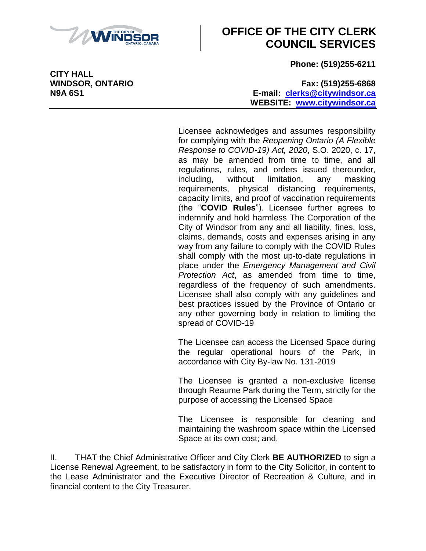

**Phone: (519)255-6211**

**WINDSOR, ONTARIO Fax: (519)255-6868 N9A 6S1 E-mail: [clerks@citywindsor.ca](mailto:clerks@citywindsor.ca) WEBSITE: [www.citywindsor.ca](http://www.citywindsor.ca/)**

> Licensee acknowledges and assumes responsibility for complying with the *Reopening Ontario (A Flexible Response to COVID-19) Act, 2020*, S.O. 2020, c. 17, as may be amended from time to time, and all regulations, rules, and orders issued thereunder, including, without limitation, any masking requirements, physical distancing requirements, capacity limits, and proof of vaccination requirements (the "**COVID Rules**"). Licensee further agrees to indemnify and hold harmless The Corporation of the City of Windsor from any and all liability, fines, loss, claims, demands, costs and expenses arising in any way from any failure to comply with the COVID Rules shall comply with the most up-to-date regulations in place under the *Emergency Management and Civil Protection Act*, as amended from time to time, regardless of the frequency of such amendments. Licensee shall also comply with any guidelines and best practices issued by the Province of Ontario or any other governing body in relation to limiting the spread of COVID-19

> The Licensee can access the Licensed Space during the regular operational hours of the Park, in accordance with City By-law No. 131-2019

> The Licensee is granted a non-exclusive license through Reaume Park during the Term, strictly for the purpose of accessing the Licensed Space

> The Licensee is responsible for cleaning and maintaining the washroom space within the Licensed Space at its own cost; and,

II. THAT the Chief Administrative Officer and City Clerk **BE AUTHORIZED** to sign a License Renewal Agreement, to be satisfactory in form to the City Solicitor, in content to the Lease Administrator and the Executive Director of Recreation & Culture, and in financial content to the City Treasurer.

**CITY HALL**